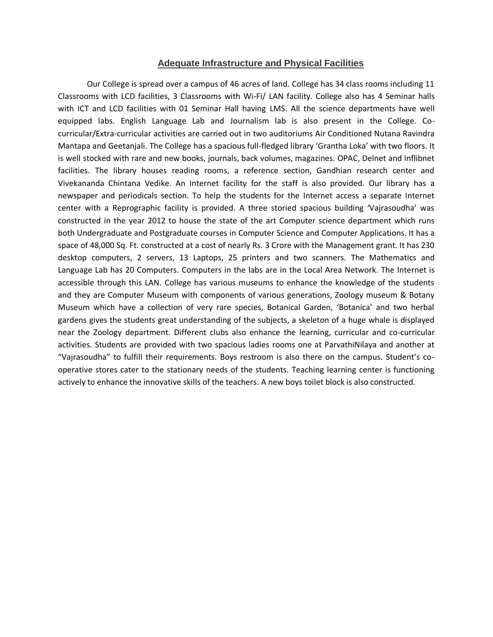## **Adequate Infrastructure and Physical Facilities**

Our College is spread over a campus of 46 acres of land. College has 34 class rooms including 11 Classrooms with LCD facilities, 3 Classrooms with Wi-Fi/ LAN facility. College also has 4 Seminar halls with ICT and LCD facilities with 01 Seminar Hall having LMS. All the science departments have well equipped labs. English Language Lab and Journalism lab is also present in the College. Cocurricular/Extra-curricular activities are carried out in two auditoriums Air Conditioned Nutana Ravindra Mantapa and Geetanjali. The College has a spacious full-fledged library 'Grantha Loka' with two floors. It is well stocked with rare and new books, journals, back volumes, magazines. OPAC, Delnet and Inflibnet facilities. The library houses reading rooms, a reference section, Gandhian research center and Vivekananda Chintana Vedike. An Internet facility for the staff is also provided. Our library has a newspaper and periodicals section. To help the students for the Internet access a separate Internet center with a Reprographic facility is provided. A three storied spacious building 'Vajrasoudha' was constructed in the year 2012 to house the state of the art Computer science department which runs both Undergraduate and Postgraduate courses in Computer Science and Computer Applications. It has a space of 48,000 Sq. Ft. constructed at a cost of nearly Rs. 3 Crore with the Management grant. It has 230 desktop computers, 2 servers, 13 Laptops, 25 printers and two scanners. The Mathematics and Language Lab has 20 Computers. Computers in the labs are in the Local Area Network. The Internet is accessible through this LAN. College has various museums to enhance the knowledge of the students and they are Computer Museum with components of various generations, Zoology museum & Botany Museum which have a collection of very rare species, Botanical Garden, 'Botanica' and two herbal gardens gives the students great understanding of the subjects, a skeleton of a huge whale is displayed near the Zoology department. Different clubs also enhance the learning, curricular and co-curricular activities. Students are provided with two spacious ladies rooms one at ParvathiNilaya and another at "Vajrasoudha" to fulfill their requirements. Boys restroom is also there on the campus. Student's cooperative stores cater to the stationary needs of the students. Teaching learning center is functioning actively to enhance the innovative skills of the teachers. A new boys toilet block is also constructed.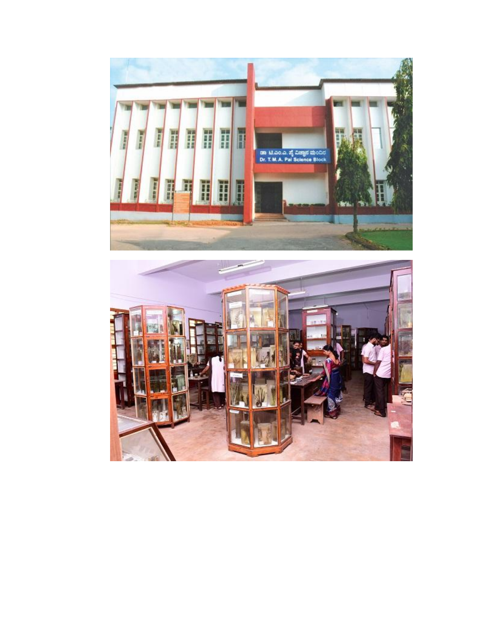

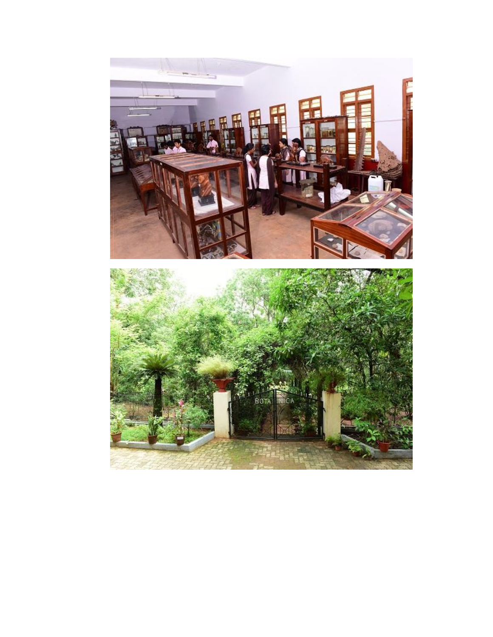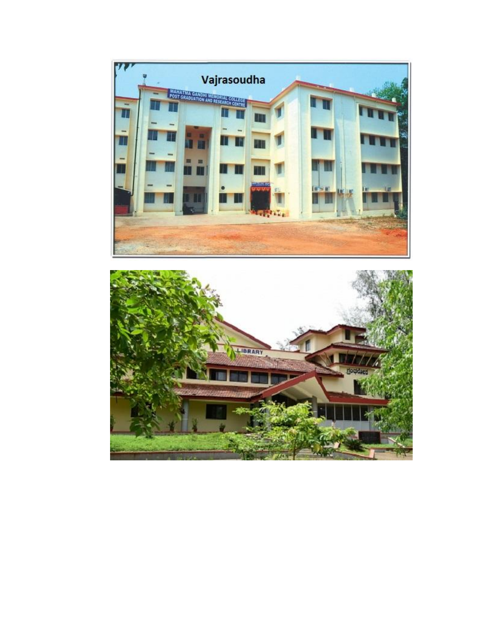

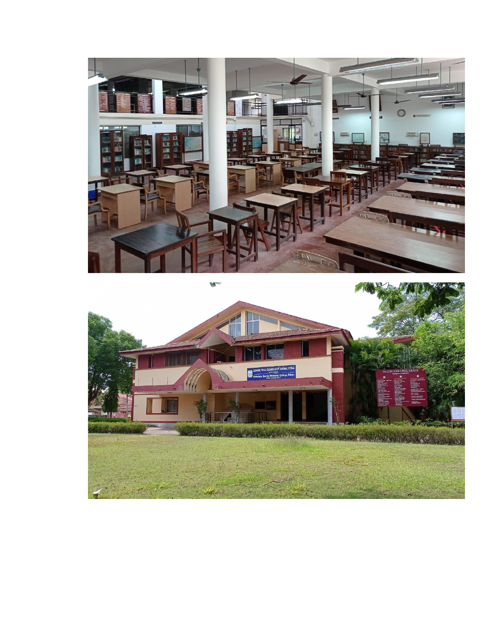